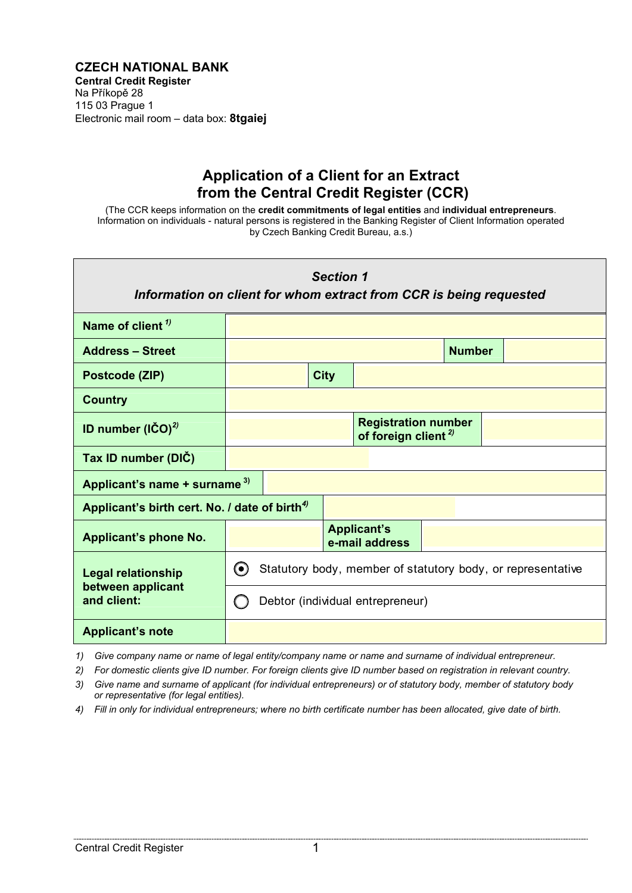## **[CZECH NATIONAL BANK](http://www.cnb.cz/en/supervision_financial_market/central_credit_register/index.html)  Central Credit Register**  Na Příkopě 28 115 03 Prague 1 [Electronic mail room – data box:](http://www.cnb.cz/en/public/contacts.html) **8tgaiej**

## **Application of a Client for an Extract from the Central Credit Register (CCR)**

(The CCR keeps information on the **credit commitments of legal entities** and **individual entrepreneurs**. Information on individuals - natural persons is registered in the Banking Register of Client Information operated by Czech Banking Credit Bureau, a.s.)

| <b>Section 1</b><br>Information on client for whom extract from CCR is being requested |                                                                           |  |             |                                      |  |  |  |  |  |
|----------------------------------------------------------------------------------------|---------------------------------------------------------------------------|--|-------------|--------------------------------------|--|--|--|--|--|
| Name of client $\eta$                                                                  |                                                                           |  |             |                                      |  |  |  |  |  |
| <b>Address - Street</b>                                                                | <b>Number</b>                                                             |  |             |                                      |  |  |  |  |  |
| Postcode (ZIP)                                                                         |                                                                           |  | <b>City</b> |                                      |  |  |  |  |  |
| <b>Country</b>                                                                         |                                                                           |  |             |                                      |  |  |  |  |  |
| ID number $(lCO)^{2}$                                                                  | <b>Registration number</b><br>of foreign client <sup><math>2</math></sup> |  |             |                                      |  |  |  |  |  |
| Tax ID number (DIC)                                                                    |                                                                           |  |             |                                      |  |  |  |  |  |
| Applicant's name + surname 3)                                                          |                                                                           |  |             |                                      |  |  |  |  |  |
| Applicant's birth cert. No. / date of birth <sup>4)</sup>                              |                                                                           |  |             |                                      |  |  |  |  |  |
| Applicant's phone No.                                                                  |                                                                           |  |             | <b>Applicant's</b><br>e-mail address |  |  |  |  |  |
| <b>Legal relationship</b>                                                              | (●)<br>Statutory body, member of statutory body, or representative        |  |             |                                      |  |  |  |  |  |
| between applicant<br>and client:                                                       | Debtor (individual entrepreneur)                                          |  |             |                                      |  |  |  |  |  |
| <b>Applicant's note</b>                                                                |                                                                           |  |             |                                      |  |  |  |  |  |

*1) Give company name or name of legal entity/company name or name and surname of individual entrepreneur.*

*2) For domestic clients give ID number. For foreign clients give ID number based on registration in relevant country.*

- *3) Give name and surname of applicant (for individual entrepreneurs) or of statutory body, member of statutory body or representative (for legal entities).*
- *4) Fill in only for individual entrepreneurs; where no birth certificate number has been allocated, give date of birth.*